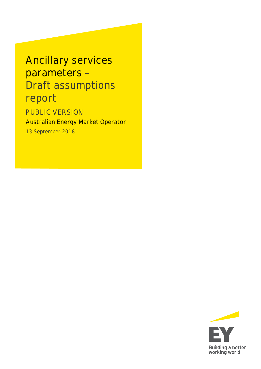Ancillary services parameters – Draft assumptions report

PUBLIC VERSION Australian Energy Market Operator

13 September 2018

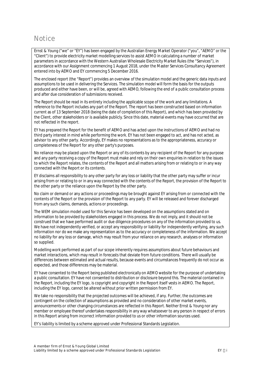# **Notice**

Ernst & Young ("we" or "EY") has been engaged by the Australian Energy Market Operator ("you", "AEMO" or the "Client") to provide electricity market modelling services to assist AEMO in calculating a number of market parameters in accordance with the Western Australian Wholesale Electricity Market Rules (the "Services"), in accordance with our Assignment commencing 1 August 2018, under the Master Services Consultancy Agreement entered into by AEMO and EY commencing 5 December 2016.

The enclosed report (the "Report") provides an overview of the simulation model and the generic data inputs and assumptions to be used in delivering the Services. The simulation model will form the basis for the outputs produced and either have been, or will be, agreed with AEMO, following the end of a public consultation process and after due consideration of submissions received.

The Report should be read in its entirety including the applicable scope of the work and any limitations. A reference to the Report includes any part of the Report. The report has been constructed based on information current as of 13 September 2018 (being the date of completion of this Report), and which has been provided by the Client, other stakeholders or is available publicly. Since this date, material events may have occurred that are not reflected in the report.

EY has prepared the Report for the benefit of AEMO and has acted upon the instructions of AEMO and had no third party interest in mind while performing the work. EY has not been engaged to act, and has not acted, as advisor to any other party. Accordingly, EY makes no representations as to the appropriateness, accuracy or completeness of the Report for any other party's purposes.

No reliance may be placed upon the Report or any of its contents by any recipient of the Report for any purpose and any party receiving a copy of the Report must make and rely on their own enquiries in relation to the issues to which the Report relates, the contents of the Report and all matters arising from or relating to or in any way connected with the Report or its contents.

EY disclaims all responsibility to any other party for any loss or liability that the other party may suffer or incur arising from or relating to or in any way connected with the contents of the Report, the provision of the Report to the other party or the reliance upon the Report by the other party.

No claim or demand or any actions or proceedings may be brought against EY arising from or connected with the contents of the Report or the provision of the Report to any party. EY will be released and forever discharged from any such claims, demands, actions or proceedings.

The WEM simulation model used for this Service has been developed on the assumptions stated and on information to be provided by stakeholders engaged in this process. We do not imply, and it should not be construed that we have performed audit or due diligence procedures on any of the information provided to us. We have not independently verified, or accept any responsibility or liability for independently verifying, any such information nor do we make any representation as to the accuracy or completeness of the information. We accept no liability for any loss or damage, which may result from your reliance on any research, analyses or information so supplied.

Modelling work performed as part of our scope inherently requires assumptions about future behaviours and market interactions, which may result in forecasts that deviate from future conditions. There will usually be differences between estimated and actual results, because events and circumstances frequently do not occur as expected, and those differences may be material.

EY have consented to the Report being published electronically on AEMO website for the purpose of undertaking a public consultation. EY have not consented to distribution or disclosure beyond this. The material contained in the Report, including the EY logo, is copyright and copyright in the Report itself vests in AEMO. The Report, including the EY logo, cannot be altered without prior written permission from EY.

We take no responsibility that the projected outcomes will be achieved, if any. Further, the outcomes are contingent on the collection of assumptions as provided and no consideration of other market events, announcements or other changing circumstances are reflected in this Report. Neither Ernst & Young nor any member or employee thereof undertakes responsibility in any way whatsoever to any person in respect of errors in this Report arising from incorrect information provided to us or other information sources used.

EY's liability is limited by a scheme approved under Professional Standards Legislation.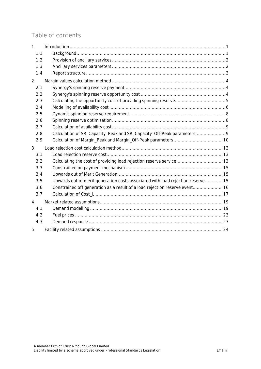# Table of contents

| 1 <sub>1</sub> |                                                                                 |  |
|----------------|---------------------------------------------------------------------------------|--|
| 1.1            |                                                                                 |  |
| 1.2            |                                                                                 |  |
| 1.3            |                                                                                 |  |
| 1.4            |                                                                                 |  |
| 2.             |                                                                                 |  |
| 2.1            |                                                                                 |  |
| 2.2            |                                                                                 |  |
| 2.3            |                                                                                 |  |
| 2.4            |                                                                                 |  |
| 2.5            |                                                                                 |  |
| 2.6            |                                                                                 |  |
| 2.7            |                                                                                 |  |
| 2.8            | Calculation of SR_Capacity_Peak and SR_Capacity_Off-Peak parameters             |  |
| 2.9            |                                                                                 |  |
| 3.             |                                                                                 |  |
| 3.1            |                                                                                 |  |
| 3.2            |                                                                                 |  |
| 3.3            |                                                                                 |  |
| 3.4            |                                                                                 |  |
| 3.5            | Upwards out of merit generation costs associated with load rejection reserve 15 |  |
| 3.6            | Constrained off generation as a result of a load rejection reserve event16      |  |
| 3.7            |                                                                                 |  |
| 4.             |                                                                                 |  |
| 4.1            |                                                                                 |  |
| 4.2            |                                                                                 |  |
| 4.3            |                                                                                 |  |
| 5.             |                                                                                 |  |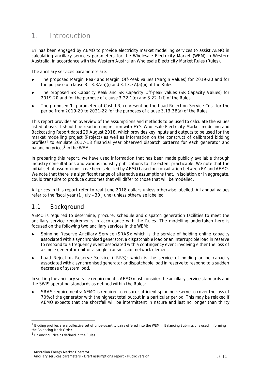# <span id="page-3-0"></span>**1. Introduction**

EY has been engaged by AEMO to provide electricity market modelling services to assist AEMO in calculating ancillary services parameters for the Wholesale Electricity Market (WEM) in Western Australia, in accordance with the Western Australian Wholesale Electricity Market Rules (Rules).

The ancillary services parameters are:

- The proposed Margin Peak and Margin Off-Peak values (Margin Values) for 2019-20 and for the purpose of clause 3.13.3A(a)(i) and 3.13.3A(a)(ii) of the Rules.
- The proposed SR\_Capacity\_Peak and SR\_Capacity\_Off-peak values (SR Capacity Values) for 2019-20 and for the purpose of clause 3.22.1(e) and 3.22.1(f) of the Rules.
- The proposed 'L' parameter of Cost\_LR, representing the Load Rejection Service Cost for the period from 2019-20 to 2021-22 for the purposes of clause 3.13.3B(a) of the Rules.

This report provides an overview of the assumptions and methods to be used to calculate the values listed above. It should be read in conjunction with EY's *Wholesale Electricity Market modelling and Backcasting Report* dated 29 August 2018, which provides key inputs and outputs to be used for the market modelling project (Project) as well as information on the construct of calibrated bidding profiles<sup>[1](#page-3-2)</sup> to emulate 2017-18 financial year observed dispatch patterns for each generator and balancing prices<sup>[2](#page-3-3)</sup> in the WEM.

In preparing this report, we have used information that has been made publicly available through industry consultations and various industry publications to the extent practicable. We note that the initial set of assumptions have been selected by AEMO based on consultation between EY and AEMO. We note that there is a significant range of alternative assumptions that, in isolation or in aggregate, could transpire to produce outcomes that will differ to those that will be modelled.

All prices in this report refer to real June 2018 dollars unless otherwise labelled. All annual values refer to the fiscal year (1 July – 30 June) unless otherwise labelled.

#### <span id="page-3-1"></span>**1.1 Background**

AEMO is required to determine, procure, schedule and dispatch generation facilities to meet the ancillary service requirements in accordance with the Rules. The modelling undertaken here is focused on the following two ancillary services in the WEM:

- ► **Spinning Reserve Ancillary Service (SRAS):** which is the service of holding online capacity associated with a synchronised generator, a dispatchable load or an interruptible load in reserve to respond to a frequency event associated with a contingency event involving either the loss of a single generator unit or a single transmission network element.
- ► **Load Rejection Reserve Service (LRRS):** which is the service of holding online capacity associated with a synchronised generator or dispatchable load in reserve to respond to a sudden decrease of system load.

In setting the ancillary service requirements, AEMO must consider the ancillary service standards and the SWIS operating standards as defined within the Rules:

► **SRAS requirements:** AEMO is required to ensure sufficient spinning reserve to cover the loss of 70% of the generator with the highest total output in a particular period. This may be relaxed if AEMO expects that the shortfall will be intermittent in nature and last no longer than thirty

<span id="page-3-2"></span><sup>&</sup>lt;sup>1</sup> Bidding profiles are a collective set of price-quantity pairs offered into the WEM in Balancing Submissions used in forming the Balancing Merit Order.

<span id="page-3-3"></span><sup>&</sup>lt;sup>2</sup> Balancing Price as defined in the Rules.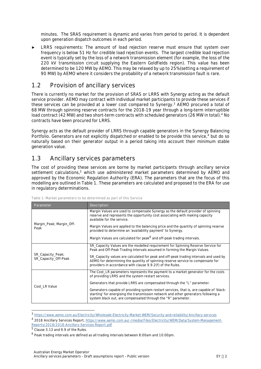minutes. The SRAS requirement is dynamic and varies from period to period. It is dependent upon generation dispatch outcomes in each period.

► **LRRS requirements:** The amount of load rejection reserve must ensure that system over frequency is below 51 Hz for credible load rejection events. The largest credible load rejection event is typically set by the loss of a network transmission element (for example, the loss of the 220 kV transmission circuit supplying the Eastern Goldfields region). This value has been determined to be 120 MW by AEMO. This may be relaxed by up to 25% (setting a requirement of 90 MW) by AEMO where it considers the probability of a network transmission fault is rare.

#### <span id="page-4-0"></span>**1.2 Provision of ancillary services**

There is currently no market for the provision of SRAS or LRRS with Synergy acting as the default service provider. AEMO may contract with individual market participants to provide these services if these services can be provided at a lower cost compared to Synergy.<sup>[3](#page-4-3)</sup> AEMO procured a total of 68 MW through spinning reserve contracts for the 2018-19 year through a long-term interruptible load contract ([4](#page-4-4)2 MW) and two short-term contracts with scheduled generators (26 MW in total).<sup>4</sup> No contracts have been procured for LRRS.

Synergy acts as the default provider of LRRS through capable generators in the Synergy Balancing Portfolio. Generators are not explicitly dispatched or enabled to be provide this service,<sup>4</sup> but do so naturally based on their generator output in a period taking into account their minimum stable generation value.

#### <span id="page-4-1"></span>**1.3 Ancillary services parameters**

The cost of providing these services are borne by market participants through ancillary service settlement calculations,<sup>[5](#page-4-5)</sup> which use administered market parameters determined by AEMO and approved by the Economic Regulation Authority (ERA). The parameters that are the focus of this modelling are outlined in [Table 1](#page-4-2). These parameters are calculated and proposed to the ERA for use in regulatory determinations.

| Parameter                                 | Description                                                                                                                                                                                                                                    |
|-------------------------------------------|------------------------------------------------------------------------------------------------------------------------------------------------------------------------------------------------------------------------------------------------|
|                                           | Margin Values are used to compensate Synergy as the default provider of spinning<br>reserve and represents the opportunity cost associating with making capacity<br>available for the service.                                                 |
| Margin_Peak; Margin_Off-<br>Peak          | Margin Values are applied to the balancing price and the quantity of spinning reserve<br>provided to determine an 'availability payment' to Synergy.                                                                                           |
|                                           | Margin Values are calculated for peak <sup>6</sup> and off-peak trading intervals.                                                                                                                                                             |
|                                           | SR_Capacity Values are the modelled requirement for Spinning Reserve Service for<br>Peak and Off-Peak Trading Intervals assumed in forming the Margin Values.                                                                                  |
| SR_Capacity_Peak;<br>SR_Capacity_Off-Peak | SR_Capacity values are calculated for peak and off-peak trading intervals and used by<br>AEMO for determining the quantity of spinning reserve service to compensate for<br>providers in accordance with clause 9.9.2(f) of the Rules.         |
|                                           | The Cost_LR parameters represents the payment to a market generator for the costs<br>of providing LRRS and the system restart services.                                                                                                        |
| Cost LR Value                             | Generators that provide LRRS are compensated through the "L" parameter.                                                                                                                                                                        |
|                                           | Generators capable of providing system restart services, that is, are capable of 'black-<br>starting' for energising the transmission network and other generators following a<br>system black out, are compensated through the "R" parameter. |

<span id="page-4-2"></span>**Table 1: Market parameters to be determined as part of this Service**

<span id="page-4-3"></span><sup>3</sup> <https://www.aemo.com.au/Electricity/Wholesale-Electricity-Market-WEM/Security-and-reliability/Ancillary-services>

<span id="page-4-4"></span><sup>4</sup> 2018 Ancillary Services Report, [https://www.aemo.com.au/-/media/Files/Electricity/WEM/Data/System-Management-](https://www.aemo.com.au/-/media/Files/Electricity/WEM/Data/System-Management-Reports/2018/2018-Ancillary-Services-Report.pdf)Reports/2018/2018-Ancillary-Services-Report.pdf

<span id="page-4-5"></span><sup>&</sup>lt;sup>5</sup> Clause 3.13 and 9.9 of the Rules.

<span id="page-4-6"></span><sup>6</sup> Peak trading intervals are defined as all trading intervals between 8:00am and 10:00pm.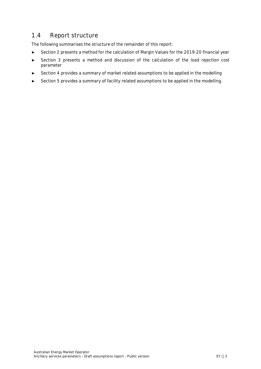## <span id="page-5-0"></span>**1.4 Report structure**

The following summarises the structure of the remainder of this report:

- ► Section 2 presents a method for the calculation of Margin Values for the 2019-20 financial year
- ► Section 3 presents a method and discussion of the calculation of the load rejection cost parameter
- ► Section 4 provides a summary of market related assumptions to be applied in the modelling
- ► Section 5 provides a summary of facility related assumptions to be applied in the modelling.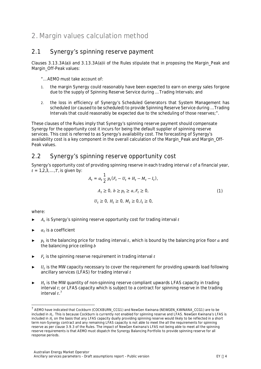# <span id="page-6-0"></span>**2. Margin values calculation method**

## <span id="page-6-1"></span>**2.1 Synergy's spinning reserve payment**

Clauses 3.13.3A(a)i and 3.13.3A(a)ii of the Rules stipulate that in proposing the Margin\_Peak and Margin Off-Peak values:

*"… AEMO must take account of:*

- *1. the margin Synergy could reasonably have been expected to earn on energy sales forgone due to the supply of Spinning Reserve Service during … Trading Intervals; and*
- *2. the loss in efficiency of Synergy's Scheduled Generators that System Management has scheduled (or caused to be scheduled) to provide Spinning Reserve Service during … Trading Intervals that could reasonably be expected due to the scheduling of those reserves;".*

These clauses of the Rules imply that Synergy's spinning reserve payment should compensate Synergy for the opportunity cost it incurs for being the default supplier of spinning reserve services. This cost is referred to as Synergy's availability cost. The forecasting of Synergy's availability cost is a key component in the overall calculation of the Margin\_Peak and Margin\_Off-Peak values.

#### <span id="page-6-2"></span>**2.2 Synergy's spinning reserve opportunity cost**

Synergy's opportunity cost of providing spinning reserve in each trading interval  $t$  of a financial year,  $t = 1,2,3,...,T$ , is given by:

<span id="page-6-4"></span>
$$
A_t = \alpha_t \frac{1}{2} p_t (F_t - U_t + H_t - M_t - I_t),
$$
  
\n
$$
A_t \ge \mathbf{0}, b \ge p_t \ge a_t F_t \ge \mathbf{0},
$$
  
\n
$$
U_t \ge \mathbf{0}, H_t \ge \mathbf{0}, M_t \ge \mathbf{0}, I_t \ge \mathbf{0},
$$
\n(1)

where:

- $\blacktriangleright$   $A_t$  is Synergy's spinning reserve opportunity cost for trading interval  $t$
- $\blacktriangleright$   $\alpha_t$  is a coefficient
- $\blacktriangleright$   $p_t$  is the balancing price for trading interval t, which is bound by the balancing price floor a and the balancing price ceiling  $$
- $\blacktriangleright$   $F_t$  is the spinning reserve requirement in trading interval  $t$
- $\blacktriangleright$   $U_t$  is the MW capacity necessary to cover the requirement for providing upwards load following ancillary services (LFAS) for trading interval  $t$
- $ightharpoonup$   $H_t$  is the MW quantity of non-spinning reserve compliant upwards LFAS capacity in trading  $\int$ interval  $t$ ; or LFAS capacity which is subject to a contract for spinning reserve in the trading interval  $t.^7$  $t.^7$

<span id="page-6-3"></span><sup>&</sup>lt;sup>7</sup> AEMO have indicated that Cockburn (COCKBURN\_CCG1) and NewGen Kwinana (NEWGEN\_KWINANA\_CCG1) are to be included in  $H_t$ . This is because Cockburn is currently not enabled for spinning reserve and LFAS. NewGen Kwinana's LFAS is included in  $H_t$  on the basis that any LFAS capacity dually providing spinning reserve would likely to be reflected in a short term non-Synergy contract and any remaining LFAS capacity is not able to meet the all the requirements for spinning reserve as per clause 3.9.3 of the Rules. The impact of NewGen Kwinana's LFAS not being able to meet all the spinning reserve requirements is that AEMO must dispatch the Synergy Balancing Portfolio to provide spinning reserve for all response periods.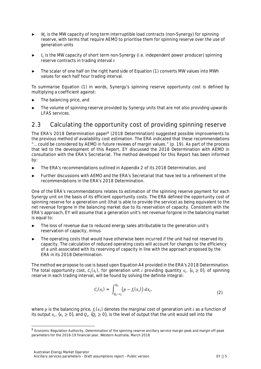- $ightharpoonup$   $M_t$  is the MW capacity of long term interruptible load contracts (non-Synergy) for spinning reserve, with terms that require AEMO to prioritise them for spinning reserve over the use of generation units
- $ightharpoonup$   $I_t$  is the MW capacity of short term non-Synergy (i.e. independent power producer) spinning reserve contracts in trading interval  $t$
- ► The scalar of one half on the right hand side of Equation [\(1\)](#page-6-4) converts MW values into MWh values for each half hour trading interval.

To summarise Equation [\(1\)](#page-6-4) in words, Synergy's spinning reserve opportunity cost is defined by multiplying a coefficient against:

- The balancing price, and
- ► The volume of spinning reserve provided by Synergy units that are not also providing upwards LFAS services.

# <span id="page-7-0"></span>**2.3 Calculating the opportunity cost of providing spinning reserve**

The ERA's 201[8](#page-7-1) Determination paper<sup>8</sup> (2018 Determination) suggested possible improvements to the previous method of availability cost estimation. The ERA indicated that these recommendations "… could be considered by AEMO in future reviews of margin values." (p. 19). As part of the process that led to the development of this Report, EY discussed the 2018 Determination with AEMO in consultation with the ERA's Secretariat. The method developed for this Report has been informed by:

- ► The ERA's recommendations outlined in Appendix 2 of its 2018 Determination, and
- ► Further discussions with AEMO and the ERA's Secretariat that have led to a refinement of the recommendations in the ERA's 2018 Determination.

One of the ERA's recommendations relates to estimation of the spinning reserve payment for each Synergy unit on the basis of its efficient opportunity costs. The ERA defined the opportunity cost of spinning reserve for a generation unit (that is able to provide the service) as being equivalent to the net revenue forgone in the balancing market due to its reservation of capacity. Consistent with the ERA's approach, EY will assume that a generation unit's net revenue forgone in the balancing market is equal to:

- ► The loss of revenue due to reduced energy sales attributable to the generation unit's reservation of capacity, minus
- ► The operating costs that would have otherwise been incurred if the unit had not reserved its capacity. The calculation of reduced operating costs will account for changes to the efficiency of a unit associated with its reserving of capacity in line with the approach proposed by the ERA in its 2018 Determination.

The method we propose to use is based upon Equation A4 provided in the ERA's 2018 Determination. The total opportunity cost,  $c_i$  ( $s_i$ ), for generation unit *i* providing quantity  $s_i$ , ( $s_i \ge 0$ ), of spinning reserve in each trading interval, will be found by solving the definite integral:

<span id="page-7-2"></span>
$$
C_i(s_i) = \int_{Q_i - s_i}^{Q_i} (p - f_i(x_i)) dx_i,
$$
\n(2)

where  $p$  is the balancing price,  $f_i(\mathbf{x}_i)$  denotes the marginal cost of generation unit  $i$  as a function of its output  $x_i$ ,  $\mathbf{t}x_i \ge \mathbf{0}$ , and  $Q_i$ ,  $Q_i \ge \mathbf{0}$ , is the level of output that the unit would sell into the

<span id="page-7-1"></span><sup>8</sup> Economic Regulation Authority, *Determination of the spinning reserve ancillary service margin peak and margin off-peak parameters for the 2018-19 financial year*, Western Australia, March 2018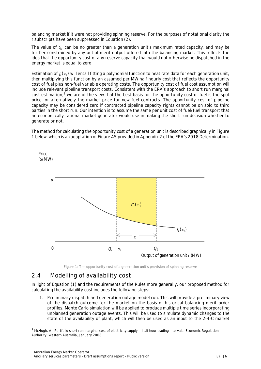balancing market if it were not providing spinn[ing](#page-7-2) reserve. For the purposes of notational clarity the  $t$  subscripts have been suppressed in Equation (2).

The value of  $Q_i$  can be no greater than a generation unit's maximum rated capacity, and may be further constrained by any out-of-merit output offered into the balancing market. This reflects the idea that the opportunity cost of any reserve capacity that would not otherwise be dispatched in the energy market is equal to zero.

Estimation of  $f_i(\bm{x}_i)$  will entail fitting a polynomial function to heat rate data for each generation unit, then multiplying this function by an assumed per MW half hourly cost that reflects the opportunity cost of fuel plus non-fuel variable operating costs. The opportunity cost of fuel cost assumption will include relevant pipeline transport costs. Consistent with the ERA's approach to short run marginal cost estimation,<sup>[9](#page-8-2)</sup> we are of the view that the best basis for the opportunity cost of fuel is the spot price, or alternatively the market price for new fuel contracts. The opportunity cost of pipeline capacity may be considered zero if contracted pipeline capacity rights cannot be on sold to third parties in the short run. Our intention is to assume the same per unit cost of fuel/fuel transport that an economically rational market generator would use in making the short run decision whether to generate or not.

The method for calculating the opportunity cost of a generation unit is described graphically in [Figure](#page-8-1) [1](#page-8-1) below, which is an adaptation of Figure A5 provided in Appendix 2 of the ERA's 2018 Determination.



<span id="page-8-1"></span><span id="page-8-0"></span>**Figure 1: The opportunity cost of a generation unit's provision of spinning reserve**

#### **2.4 Modelling of availability cost**

In light of Equation [\(1\)](#page-6-4) and the requirements of the Rules more generally, our proposed method for calculating the availability cost includes the following steps:

1. **Preliminary dispatch and generation outage model run.** This will provide a preliminary view of the dispatch outcome for the market on the basis of historical balancing merit order profiles. Monte Carlo simulation will be applied to produce multiple time series incorporating unplanned generation outage events. This will be used to simulate dynamic changes to the state of the availability of plant, which will then be used as an input to the 2-4-C market

<span id="page-8-2"></span><sup>&</sup>lt;sup>9</sup> McHugh, A., *Portfolio short run marginal cost of electricity supply in half hour trading intervals, Economic Regulation* Authority, Western Australia, January 2008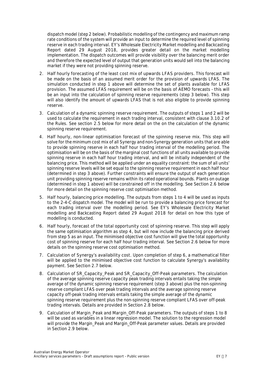dispatch model (step 2 below). Probabilistic modelling of the contingency and maximum ramp rate conditions of the system will provide an input to determine the required level of spinning reserve in each trading interval. EY's *Wholesale Electricity Market modelling and Backcasting Report* dated 29 August 2018, provides greater detail on the market modelling implementation. The dispatch outcomes will provide visibility over the balancing merit order and therefore the expected level of output that generation units would sell into the balancing market if they were not providing spinning reserve.

- 2. **Half hourly forecasting of the least cost mix of upwards LFAS providers.** This forecast will be made on the basis of an assumed merit order for the provision of upwards LFAS. The simulation conducted in step 1 above will determine the set of plants available for LFAS provision. The assumed LFAS requirement will be on the basis of AEMO forecasts - this will be an input into the calculation of spinning reserve requirements (step 3 below). This step will also identify the amount of upwards LFAS that is not also eligible to provide spinning reserve.
- 3. **Calculation of a dynamic spinning reserve requirement.** The outputs of steps 1 and 2 will be used to calculate the requirement in each trading interval, consistent with clause 3.10.2 of the Rules. See section [2.5](#page-10-0) below for more detail on the on the calculation of the dynamic spinning reserve requirement.
- 4. **Half hourly, non-linear optimisation forecast of the spinning reserve mix.** This step will solve for the minimum cost mix of all Synergy and non-Synergy generation units that are able to provide spinning reserve in each half hour trading interval of the modelling period. The optimisation will be on the basis of the marginal cost functions of all units available to provide spinning reserve in each half hour trading interval, and will be initially independent of the balancing price. This method will be applied under an equality constraint: the sum of all units' spinning reserve levels will be set equal to the spinning reserve requirement in each half hour (determined in step 3 above). Further constraints will ensure the output of each generation unit providing spinning reserve remains within its rated operational bounds. Plants on outage (determined in step 1 above) will be constrained off in the modelling. See Section [2.6](#page-10-1) below for more detail on the spinning reserve cost optimisation method.
- 5. **Half hourly, balancing price modelling.** The outputs from steps 1 to 4 will be used as inputs to the 2-4-C dispatch model. The model will be run to provide a balancing price forecast for each trading interval over the modelling period. See EY's *Wholesale Electricity Market modelling and Backcasting Report* dated 29 August 2018 for detail on how this type of modelling is conducted.
- 6. **Half hourly, forecast of the total opportunity cost of spinning reserve.** This step will apply the same optimisation algorithm as step 4, but will now include the balancing price derived from step 5 as an input. The minimised objective cost function will give the total opportunity cost of spinning reserve for each half hour trading interval. See Section [2.6](#page-10-1) below for more details on the spinning reserve cost optimisation method.
- 7. **Calculation of Synergy's availability cost.** Upon completion of step 6, a mathematical filter will be applied to the minimised objective cost function to calculate Synergy's availability payment. See Section [2.7](#page-11-0) below.
- **8. Calculation of SR\_Capacity\_Peak and SR\_Capacity\_Off-Peak parameters.** The calculation of the average spinning reserve capacity peak trading intervals entails taking the simple average of the dynamic spinning reserve requirement (step 3 above) plus the non-spinning reserve compliant LFAS over peak trading intervals and the average spinning reserve capacity off-peak trading intervals entails taking the simple average of the dynamic spinning reserve requirement plus the non-spinning reserve compliant LFAS over off-peak trading intervals. Details are provided in Section [2.8](#page-11-1) below.
- 9. **Calculation of Margin\_Peak and Margin\_Off-Peak parameters.** The outputs of steps 1 to 8 will be used as variables in a linear regression model. The solution to the regression model will provide the Margin Peak and Margin Off-Peak parameter values. Details are provided in Section [2.9](#page-12-1) below.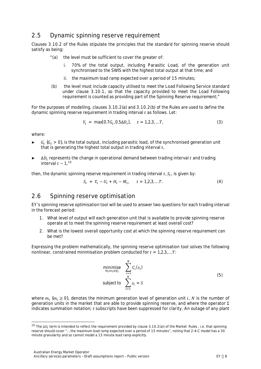### <span id="page-10-0"></span>**2.5 Dynamic spinning reserve requirement**

Clauses 3.10.2 of the Rules stipulate the principles that the standard for spinning reserve should satisfy as being:

- *"(a) the level must be sufficient to cover the greater of:*
	- *i. 70% of the total output, including Parasitic Load, of the generation unit synchronised to the SWIS with the highest total output at that time; and*
	- *ii. the maximum load ramp expected over a period of 15 minutes;*
- *(b) the level must include capacity utilised to meet the Load Following Service standard under clause 3.10.1, so that the capacity provided to meet the Load Following requirement is counted as providing part of the Spinning Reserve requirement;"*

For the purposes of modelling, clauses 3.10.2(a) and 3.10.2(b) of the Rules are used to define the dynamic spinning reserve requirement in trading interval  $t$  as follows. Let:

$$
Y_t = \max[0.7G_t, 0.5\Delta D_t], \quad t = 1,2,3,...T,
$$
\n(3)

where:

- $\triangleright$   $G_t$  ( $G_t$  > 0), is the total output, including parasitic load, of the synchronised generation unit that is generating the highest total output in trading interval  $t_i$
- $ightharpoonup$   $\Delta D_t$  represents the change in operational demand between trading interval t and trading interval  $t - 1$ , <sup>[10](#page-10-2)</sup>

then, the dynamic spinning reserve requirement in trading interval  $t_{\rm r} S_t$ , is given by:

$$
S_t = Y_t - U_t + H_t - M_t, \t t = 1,2,3,...T.
$$
 (4)

#### <span id="page-10-1"></span>**2.6 Spinning reserve optimisation**

EY's spinning reserve optimisation tool will be used to answer two questions for each trading interval in the forecast period:

- 1. What level of output will each generation unit that is available to provide spinning reserve operate at to meet the spinning reserve requirement at least overall cost?
- 2. What is the lowest overall opportunity cost at which the spinning reserve requirement can be met?

Expressing the problem mathematically, the spinning reserve optimisation tool solves the following nonlinear, constrained minimisation problem conducted for  $t = 1.2.3...T$ :

<span id="page-10-3"></span>minimise 
$$
\sum_{i=1}^{N} C_i(s_i)
$$
  
subject to 
$$
\sum_{i=1}^{N} s_i = S
$$
 (5)

where  $m_i$  ( $m_i \geq 0$ ), denotes the minimum generation level of generation unit i, N is the number of generation units in the market that are able to provide spinning reserve, and where the operator Σ indicates summation notation; t subscripts have been suppressed for clarity. An outage of any plant

<span id="page-10-2"></span><sup>&</sup>lt;sup>10</sup> The ΔD<sub>t</sub> term is intended to reflect the requirement provided by clause 3.10.2(a)i of the Market Rules , i.e. that spinning reserve should cover "… the maximum load ramp expected over a period of 15 minutes", noting that 2-4-C model has a 30 minute granularity and so cannot model a 15 minute load ramp explicitly.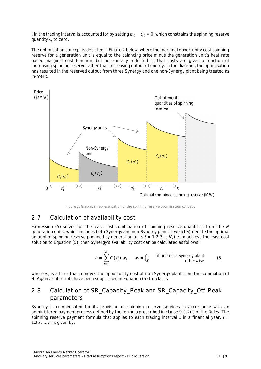i in the trading interval is accounted for by setting  $m_i = Q_i = 0$ , which constrains the spinning reserve quantity  $s_i$  to zero.

The optimisation concept is depicted in [Figure 2](#page-11-2) below, where the marginal opportunity cost spinning reserve for a generation unit is equal to the balancing price minus the generation unit's heat rate based marginal cost function, but horizontally reflected so that costs are given a function of increasing spinning reserve rather than increasing output of energy. In the diagram, the optimisation has resulted in the reserved output from three Synergy and one non-Synergy plant being treated as in-merit.



<span id="page-11-2"></span><span id="page-11-0"></span>**Figure 2: Graphical representation of the spinning reserve optimisation concept**

## **2.7 Calculation of availability cost**

Expression [\(5\)](#page-10-3) solves for the least cost combination of spinning reserve quantities from the  $N$ generation units, which includes both Synergy and non-Synergy plant. If we let  $s_i^*$  denote the optimal amount of spinning reserve provided by generation units  $i = 1, 2, 3, ..., N$ , i.e. to achieve the least cost solution to Equation [\(5\)](#page-10-3), then Synergy's availability cost can be calculated as follows:

<span id="page-11-3"></span>
$$
A = \sum_{i=1}^{N} C_i \mathbf{G}_i^* \mathbf{J} \cdot w_i, \quad w_i = \begin{cases} \mathbf{1} & \text{if unit } i \text{ is a } \mathbf{Synergy plant} \\ \mathbf{0} & \text{otherwise} \end{cases} \tag{6}
$$

where  $w_i$  is a filter that removes the opportunity cost [of no](#page-11-3)n-Synergy plant from the summation of A. Again  $t$  subscripts have been suppressed in Equation (6) for clarity.

#### <span id="page-11-1"></span>**2.8 Calculation of SR\_Capacity\_Peak and SR\_Capacity\_Off-Peak parameters**

Synergy is compensated for its provision of spinning reserve services in accordance with an administered payment process defined by the formula prescribed in clause 9.9.2(f) of the Rules. The spinning reserve payment formula that applies to each trading interval  $t$  in a financial year,  $t=$ **1,2,3, ...,**  $T$ **, is given by:**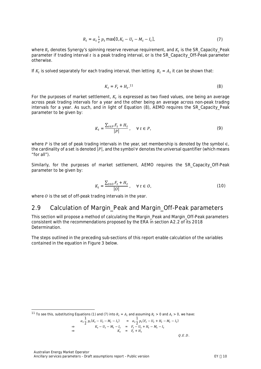$$
R_t = \alpha_t \frac{1}{2} p_t \max[0, K_t - U_t - M_t - I_t],
$$
\n(7)

where  $R_t$  denotes Synergy's spinning reserve revenue requirement, and  $K_t$  is the SR\_Capacity\_Peak parameter if trading interval  $t$  is a peak trading interval, or is the SR\_Capacity\_Off-Peak parameter otherwise.

If  $K_t$  is solved separately for each trading interval, then letting  $R_t = A_t$  it can be shown that:

<span id="page-12-2"></span>
$$
K_t = F_t + H_t
$$
.<sup>11</sup> (8)

For the purposes of market settlement,  $K_t$  is expressed as two fixed values, one being an average across peak trading intervals for a year and the other being an average across non-peak trading intervals for a year. As such, and in light of Equation [\(8\)](#page-12-2), AEMO requires the SR\_Capacity\_Peak parameter to be given by:

$$
K_t = \frac{\sum_{t \in P} F_t + H_t}{|P|}, \quad \forall \ t \in P,
$$
\n
$$
(9)
$$

where P is the set of peak trading intervals in the year, set membership is denoted by the symbol  $\in$ , the cardinality of a set is denoted  $|P|$ , and the symbol  $\forall$  denotes the universal quantifier (which means "for all").

Similarly, for the purposes of market settlement, AEMO requires the SR\_Capacity\_Off-Peak parameter to be given by:

$$
K_t = \frac{\sum_{t \in O} F_t + H_t}{|O|}, \quad \forall \ t \in O_t
$$
\n(10)

<span id="page-12-0"></span>where  $\theta$  is the set of off-peak trading intervals in the year.

#### <span id="page-12-1"></span>**2.9 Calculation of Margin\_Peak and Margin\_Off-Peak parameters**

This section will propose a method of calculating the Margin\_Peak and Margin\_Off-Peak parameters consistent with the recommendations proposed by the ERA in section A2.2 of its 2018 Determination.

The steps outlined in the preceding sub-sections of this report enable calculation of the variables contained in the equation in [Figure 3](#page-13-0) below.

$$
\alpha_t \frac{1}{2} p_t (K_t - U_t - M_t - I_t) = \alpha_t \frac{1}{2} p_t (F_t - U_t + H_t - M_t - I_t)
$$
  
\n
$$
\Rightarrow \qquad K_t - U_t - M_t - I_t = F_t - U_t + H_t - M_t - I_t
$$
  
\n
$$
\Rightarrow \qquad K_t = F_t + H_t
$$

 $Q.E.D.$ 

<span id="page-12-3"></span><sup>&</sup>lt;sup>11</sup> To see this, substituting Equations (1) and (7) into  $R_t = A_t$  and assuming  $R_t > 0$  and  $A_t > 0$ , we have: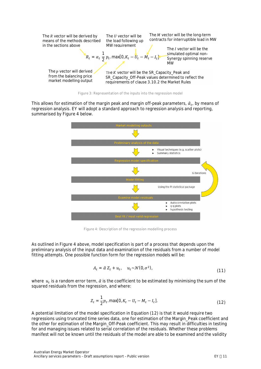

<span id="page-13-0"></span>

This allows for estimation of the margin peak and margin off-peak parameters,  $\hat{a}_t$ , by means of regression analysis. EY will adopt a standard approach to regression analysis and reporting, summarised by [Figure 4](#page-13-1) below.



<span id="page-13-1"></span>**Figure 4: Description of the regression modelling process**

As outlined in [Figure 4](#page-13-1) above, model specification is part of a process that depends upon the preliminary analysis of the input data and examination of the residuals from a number of model fitting attempts. One possible function form for the regression models will be:

$$
A_t = \hat{\alpha} Z_t + u_t, \quad u_t \sim \mathcal{N}(\mathbf{0}, \sigma^2), \tag{11}
$$

where  $\,u_{t}$  is a random error term,  $\hat{a}$  is the coefficient to be estimated by minimising the sum of the squared residuals from the regression, and where:

<span id="page-13-2"></span>
$$
Z_t = \frac{1}{2} p_t \cdot \max[0, K_t - U_t - M_t - I_t].
$$
\n(12)

A potential limitation of the model specification in Equation [\(12\)](#page-13-2) is that it would require two regressions using truncated time series data, one for estimation of the Margin\_Peak coefficient and the other for estimation of the Margin\_Off-Peak coefficient. This may result in difficulties in testing for and managing issues related to serial correlation of the residuals. Whether these problems manifest will not be known until the residuals of the model are able to be examined and the validity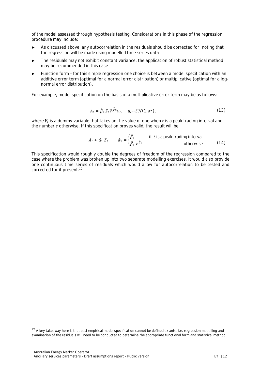of the model assessed through hypothesis testing. Considerations in this phase of the regression procedure may include:

- ► As discussed above, any autocorrelation in the residuals should be corrected for, noting that the regression will be made using modelled time-series data
- ► The residuals may not exhibit constant variance, the application of robust statistical method may be recommended in this case
- Function form for this simple regression one choice is between a model specification with an additive error term (optimal for a normal error distribution) or multiplicative (optimal for a lognormal error distribution).

For example, model specification on the basis of a multiplicative error term may be as follows:

$$
A_t = \hat{\beta}_1 Z_t V_t^{\hat{\beta}_2} u_t, \quad u_t \sim \mathcal{L} \mathcal{N}(\mathbf{1}, \sigma^2), \tag{13}
$$

where  $V_t$  is a dummy variable that takes on the value of one when  $t$  is a peak trading interval and the number  $e$  otherwise. If this specification proves valid, the result will be:

$$
A_t \approx \hat{\alpha}_1 Z_{t}, \qquad \hat{\alpha}_1 = \begin{cases} \hat{\beta}_1 & \text{if } t \text{ is a peak trading interval} \\ \hat{\beta}_1, e^{\hat{\beta}_2} & \text{otherwise} \end{cases} \tag{14}
$$

This specification would roughly double the degrees of freedom of the regression compared to the case where the problem was broken up into two separate modelling exercises. It would also provide one continuous time series of residuals which would allow for autocorrelation to be tested and corrected for if present.<sup>[12](#page-14-0)</sup>

<span id="page-14-0"></span><sup>&</sup>lt;sup>12</sup> A key takeaway here is that best empirical model specification cannot be defined ex ante, i.e. regression modelling and examination of the residuals will need to be conducted to determine the appropriate functional form and statistical method.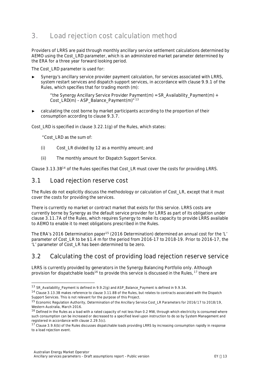# <span id="page-15-0"></span>**3. Load rejection cost calculation method**

Providers of LRRS are paid through monthly ancillary service settlement calculations determined by AEMO using the Cost LRD parameter, which is an administered market parameter determined by the ERA for a three year forward looking period.

The Cost LRD parameter is used for:

Synergy's ancillary service provider payment calculation, for services associated with LRRS, system restart services and dispatch support services, in accordance with clause 9.9.1 of the Rules, which specifies that for trading month (m):

*"the Synergy Ancillary Service Provider Payment(m) = SR\_Availability\_Payment(m) + Cost\_LRD(m) – ASP\_Balance\_Payment(m)" [13](#page-15-3)*

calculating the cost borne by market participants according to the proportion of their consumption according to clause 9.3.7.

Cost\_LRD is specified in clause 3.22.1(g) of the Rules, which states:

 *"Cost\_LRD as the sum of:*

- *(i) Cost\_LR divided by 12 as a monthly amount; and*
- *(ii) The monthly amount for Dispatch Support Service.*

Clause 3.13.3B[14](#page-15-4) of the Rules specifies that Cost\_LR must cover the costs for providing LRRS.

#### <span id="page-15-1"></span>**3.1 Load rejection reserve cost**

The Rules do not explicitly discuss the methodology or calculation of Cost\_LR, except that it must cover the costs for providing the services.

There is currently no market or contract market that exists for this service. LRRS costs are currently borne by Synergy as the default service provider for LRRS as part of its obligation under clause 3.11.7A of the Rules, which requires Synergy to make its capacity to provide LRRS available to AEMO to enable it to meet obligations prescribed in the Rules.

The ERA's 2016 Determination paper<sup>[15](#page-15-5)</sup> (2016 Determination) determined an annual cost for the 'L' parameter of Cost\_LR to be \$1.4 m for the period from 2016-17 to 2018-19. Prior to 2016-17, the 'L' parameter of Cost\_LR has been determined to be zero.

## <span id="page-15-2"></span>**3.2 Calculating the cost of providing load rejection reserve service**

LRRS is currently provided by g[en](#page-15-6)erators in the Synergy Balancing Portfolio only. [Al](#page-15-7)though provision for dispatchable loads<sup>16</sup> to provide this service is discussed in the Rules,  $17$  there are

<span id="page-15-3"></span><sup>13</sup> SR\_Availability\_Payment is defined in 9.9.2(g) and ASP\_Balance\_Payment is defined in 9.9.3A.

<span id="page-15-4"></span><sup>14</sup> Clause 3.13.3B makes reference to clause 3.11.8B of the Rules, but relates to contracts associated with the Dispatch Support Services. This is not relevant for the purpose of this Project.

<span id="page-15-5"></span><sup>15</sup> Economic Regulation Authority, *Determination of the Ancillary Service Cost\_LR Parameters for 2016/17 to 2018/19*, Western Australia, March 2016.

<span id="page-15-6"></span> $16$  Defined in the Rules as a load with a rated capacity of not less than 0.2 MW, through which electricity is consumed where such consumption can be increased or decreased to a specified level upon instruction to do so by System Management and registered in accordance with clause 2.29.5(c).

<span id="page-15-7"></span> $17$  Clause 3.9.6(b) of the Rules discusses dispatchable loads providing LRRS by increasing consumption rapidly in response to a load rejection event.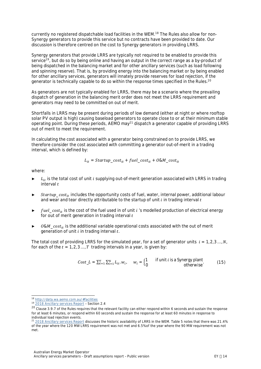currently no registered dispatchable load facilities in the WEM.18 The Rules also allow for non-Synergy generators to provide this service but no contracts have been provided to date. Our discussion is therefore centred on the cost to Synergy generators in providing LRRS.

Syner[gy](#page-16-0) generators that provide LRRS are typically not required to be enabled to provide this service<sup>19</sup>, but do so by being online and having an output in the correct range as a by-product of being dispatched in the balancing market and for other ancillary services (such as load following and spinning reserve). That is, by providing energy into the balancing market or by being enabled for other ancillary services, generators will innately provide reserves for load rejection, i[f th](#page-16-1)e generator is technically capable to do so within the response times specified in the Rules.<sup>20</sup>

As generators are not typically enabled for LRRS, there may be a scenario where the prevailing dispatch of generation in the balancing merit order does not meet the LRRS requirement and generators may need to be committed on out of merit.

Shortfalls in LRRS may be present during periods of low demand (either at night or where rooftop solar PV output is high) causing baseload generat[or](#page-16-2)s to operate close to or at their minimum stable operating point. During these periods, AEMO may<sup>21</sup> dispatch a generator capable of providing LRRS out of merit to meet the requirement.

In calculating the cost associated with a generator being constrained on to provide LRRS, we therefore consider the cost associated with committing a generator out-of-merit in a trading interval, which is defined by:

$$
L_{it} = Startup\_cost_{it} + fuel\_cost_{it} + O\clubsuit M\_cost_{it}
$$

where:

- $\blacktriangleright$   $L_{it}$  is the total cost of unit *i* supplying out-of-merit generation associated with LRRS in trading interval  $t$
- ► Startup\_cost<sub>it</sub> includes the opportunity costs of fuel, water, internal power, additional labour and wear and tear directly attributable to the startup of unit  $i$  in trading interval  $t$
- $fuel\_cost_{it}$  is the cost of the fuel used in of unit  $i$  's modelled production of electrical energy for out of merit generation in trading interval  $t$
- $0$ &M<sub>-cost<sub>it</sub> is the additional variable operational costs associated with the out of merit</sub> generation of unit  $i$  in trading interval  $t$ .

The total cost of providing LRRS for the simulated year, for a set of generator units  $i = 1, 2, 3, ..., N$ , for each of the  $t = 1, 2, 3, \ldots, T$  trading intervals in a year, is given by:

$$
Cost\_L = \sum_{t=1}^{T} \sum_{i=1}^{N} L_{it} \cdot w_{it} \qquad w_i = \begin{cases} 1 & \text{if unit } i \text{ is a } \text{Synergy plant} \\ 0 & \text{otherwise} \end{cases} \tag{15}
$$

<sup>18</sup> <http://data.wa.aemo.com.au/#facilities>

<span id="page-16-0"></span><sup>19</sup> [2018 Ancillary services Report](https://www.aemo.com.au/-/media/Files/Electricity/WEM/Data/System-Management-Reports/2018/2018-Ancillary-Services-Report.pdfhttps:/www.aemo.com.au/-/media/Files/Electricity/WEM/Data/System-Management-Reports/2018/2018-Ancillary-Services-Report.pdf) – Section 2.4

<span id="page-16-1"></span><sup>&</sup>lt;sup>20</sup> Clause 3.9.7 of the Rules requires that the relevant facility can either respond within 6 seconds and sustain the response for at least 6 minutes, or respond within 60 seconds and sustain the response for at least 60 minutes in response to individual load rejection events.

<span id="page-16-2"></span><sup>&</sup>lt;sup>21</sup> [2018 Ancillary services Report](https://www.aemo.com.au/-/media/Files/Electricity/WEM/Data/System-Management-Reports/2018/2018-Ancillary-Services-Report.pdfhttps:/www.aemo.com.au/-/media/Files/Electricity/WEM/Data/System-Management-Reports/2018/2018-Ancillary-Services-Report.pdf) discusses the historic availability of LRRS in the WEM. Table 5 notes that there was 21.4% of the year where the 120 MW LRRS requirement was not met and 6.5% of the year where the 90 MW requirement was not met.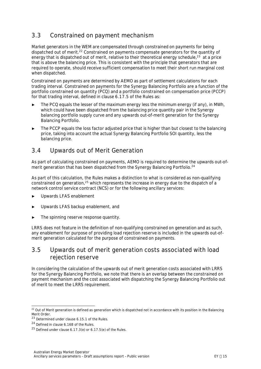# <span id="page-17-0"></span>**3.3 Constrained on payment mechanism**

Market generators in th[e W](#page-17-3)EM are compensated through constrained on payments for being dispatched out of merit.<sup>22</sup> Constrained on payments compensate generators for th[e q](#page-17-4)uantity of energy that is dispatched out of merit, relative to their theoretical energy schedule, $^{23}$  at a price that is above the balancing price. This is consistent with the principle that generators that are required to operate, should receive sufficient compensation to meet their short run marginal cost when dispatched.

Constrained on payments are determined by AEMO as part of settlement calculations for each trading interval. Constrained on payments for the Synergy Balancing Portfolio are a function of the portfolio constrained on quantity (PCQ) and a portfolio constrained on compensation price (PCCP) for that trading interval, defined in clause 6.17.5 of the Rules as:

- The PCQ equals the lesser of the maximum energy less the minimum energy (if any), in MWh, which could have been dispatched from the balancing price quantity pair in the Synergy balancing portfolio supply curve and any upwards out-of-merit generation for the Synergy Balancing Portfolio.
- The PCCP equals the loss factor adjusted price that is higher than but closest to the balancing price, taking into account the actual Synergy Balancing Portfolio SOI quantity, less the balancing price.

## <span id="page-17-1"></span>**3.4 Upwards out of Merit Generation**

As part of calculating constrained on payments, AEMO is required to determine t[he](#page-17-5) upwards out-ofmerit generation that has been dispatched from the Synergy Balancing Portfolio.<sup>24</sup>

As part of this calculation, the Rules makes a distinction to what is considered as non-qualifying constrained on generation, $25$  which represents the increase in energy due to the dispatch of a network control service contract (NCS) or for the following ancillary services:

- Upwards LFAS enablement
- Upwards LFAS backup enablement, and
- The spinning reserve response quantity.

LRRS does not feature in the definition of non-qualifying constrained on generation and as such, any enablement for purpose of providing load rejection reserve is included in the upwards out-ofmerit generation calculated for the purpose of constrained on payments.

## <span id="page-17-2"></span>**3.5 Upwards out of merit generation costs associated with load rejection reserve**

In considering the calculation of the upwards out of merit generation costs associated with LRRS for the Synergy Balancing Portfolio, we note that there is an overlap between the constrained on payment mechanism and the cost associated with dispatching the Synergy Balancing Portfolio out of merit to meet the LRRS requirement.

<span id="page-17-3"></span><sup>&</sup>lt;sup>22</sup> Out of Merit generation is defined as generation which is dispatched not in accordance with its position in the Balancing Merit Order.

<span id="page-17-4"></span><sup>23</sup> Determined under clause 6.15.1 of the Rules.

<span id="page-17-5"></span><sup>24</sup> Defined in clause 6.16B of the Rules.

<span id="page-17-6"></span> $25$  Defined under clause 6.17.3(e) or 6.17.5(e) of the Rules.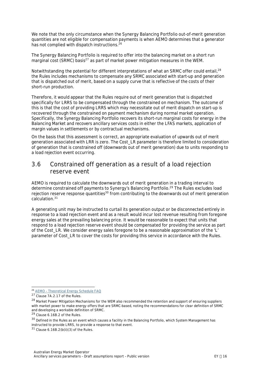We note that the only circumstance when the Synergy Balancing Portfolio out-of-merit generation quantities are not eligible for compensation [pa](#page-18-1)yments is when AEMO determines that a generator has not complied with dispatch instructions.<sup>26</sup>

The Synergy Balancing Por[tfo](#page-18-2)lio is required to offer into the balancing market on a short run marginal cost (SRMC) basis<sup>27</sup> as part of market power mitigation measures in the WEM.

Notwithstanding the potential for different interpretations of what an SRMC offer could entail,<sup>[28](#page-18-3)</sup> the Rules includes mechanisms to compensate any SRMC associated with start-up and generation that is dispatched out of merit, based on a supply curve that is reflective of the costs of their short-run production.

Therefore, it would appear that the Rules require out of merit generation that is dispatched specifically for LRRS to be compensated through the constrained on mechanism. The outcome of this is that the cost of providing LRRS which may necessitate out of merit dispatch on start-up is recovered through the constrained on payment mechanism during normal market operation. Specifically, the Synergy Balancing Portfolio recovers its short-run marginal costs for energy in the Balancing Market and recovers ancillary services costs in either the LFAS markets, application of margin values in settlements or by contractual mechanisms.

On the basis that this assessment is correct, an appropriate evaluation of upwards out of merit generation associated with LRR is zero. The Cost\_LR parameter is therefore limited to consideration of generation that is constrained off (downwards out of merit generation) due to units responding to a load rejection event occurring.

## <span id="page-18-0"></span>**3.6 Constrained off generation as a result of a load rejection reserve event**

AEMO is required to calculate the downwards out of merit generation [in](#page-18-4) a trading interval to determine constrained off payments [to](#page-18-5) Synergy's Balancing Portfolio.<sup>29</sup> The Rules excludes load rejection r[ese](#page-18-6)rve response quantities<sup>30</sup> from contributing to the downwards out of merit generation calculation.<sup>31</sup>

A generating unit may be instructed to curtail its generation output or be disconnected entirely in response to a load rejection event and as a result would incur lost revenue resulting from foregone energy sales at the prevailing balancing price. It would be reasonable to expect that units that respond to a load rejection reserve event should be compensated for providing the service as part of the Cost\_LR. We consider energy sales foregone to be a reasonable approximation of the 'L' parameter of Cost LR to cover the costs for providing this service in accordance with the Rules.

<span id="page-18-1"></span><sup>26</sup> [AEMO – Theoretical Energy Schedule FAQ](https://www.aemo.com.au/-/media/Files/PDF/aemo--theoretical-energy-schedule-faq_v16450963f29c46dc8b2c9ff0000bd36b5.pdf)

<span id="page-18-2"></span> $27$  Clause 7A.2.17 of the Rules.

<span id="page-18-3"></span><sup>&</sup>lt;sup>28</sup> Market Power Mitigation Mechanisms for the WEM also recommended the retention and support of ensuring suppliers with market power to make energy offers that are SRMC-based, noting the recommendations for clear definition of SRMC and developing a workable definition of SRMC.

<span id="page-18-4"></span><sup>29</sup> Clause 6.16B.2 of the Rules.

<span id="page-18-5"></span><sup>&</sup>lt;sup>30</sup> Defined in the Rules as an event which causes a facility in the Balancing Portfolio, which System Management has instructed to provide LRRS, to provide a response to that event.

<span id="page-18-6"></span> $31$  Clause 6.16B.2(b(ii)(3) of the Rules.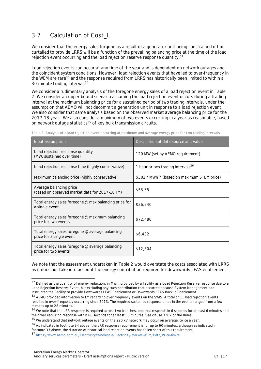# <span id="page-19-0"></span>**3.7 Calculation of Cost\_L**

We consider that the energy sales forgone as a result of a generator unit being constrained off or curtailed to provide LRRS will be a function of the prevailing balancing pric[e a](#page-19-2)t the time of the load rejection event occurring and the load rejection reserve response quantity.<sup>32</sup>

Load rejection events can occur at any time of the year and is dependent on network outages and the coincident sy[ste](#page-19-3)m conditions. However, load rejection events that have led to over-frequency in the WEM ar[e r](#page-19-4)are<sup>33</sup> and the response required from LRRS has historically been limited to within a 30 minute trading interval.<sup>34</sup>

We consider a rudimentary analysis of the foregone energy sales of a load rejection event in [Table](#page-19-1) [2](#page-19-1). We consider an upper bound scenario assuming the load rejection event occurs during a trading interval at the maximum balancing price for a sustained period of two trading intervals, under the assumption that AEMO will not decommit a generation unit in response to a load rejection event. We also consider that same analysis based on the observed market average balancing price for the 2017-18 year. We also consider a maximum of two events occurring in a year as reasonable, based on network outage statistics[35](#page-19-5) of key bulk transmission circuits.

| Input assumption                                                            | Description of data source and value                    |
|-----------------------------------------------------------------------------|---------------------------------------------------------|
| Load rejection response quantity<br>(MW, sustained over time)               | 120 MW (set by AEMO requirement)                        |
| Load rejection response time (highly conservative)                          | 1 hour or two trading intervals <sup>36</sup>           |
| Maximum balancing price (highly conservative)                               | \$302 / MWh <sup>37</sup> (based on maximum STEM price) |
| Average balancing price<br>(based on observed market data for 2017-18 FY)   | \$53.35                                                 |
| Total energy sales foregone @ max balancing price for<br>a single event     | \$36,240                                                |
| Total energy sales foregone @ maximum balancing<br>price for two events     | \$72,480                                                |
| Total energy sales foregone @ average balancing<br>price for a single event | \$6,402                                                 |
| Total energy sales foregone @ average balancing<br>price for two events     | \$12,804                                                |

<span id="page-19-1"></span>**Table 2: Analysis of a load rejection event occurring at maximum and average energy price for two trading intervals**

We note that the assessment undertaken in [Table 2](#page-19-1) would overstate the costs associated with LRRS as it does not take into account the energy contribution required for downwards LFAS enablement

<span id="page-19-2"></span><sup>&</sup>lt;sup>32</sup> Defined as the quantity of energy reduction, in MWh, provided by a Facility as a Load Rejection Reserve response due to a Load Rejection Reserve Event, but excluding any such contribution that occurred because System Management had instructed the Facility to provide Downwards LFAS Enablement or Downwards LFAS Backup Enablement.

<span id="page-19-3"></span><sup>33</sup> AEMO provided information to EY regarding over frequency events on the SWIS. A total of 11 load rejection events resulted in over-frequency occurring since 2013. The required sustained response times in the events ranged from a few minutes up to 28 minutes.

<span id="page-19-4"></span><sup>34</sup> We note that the LRR response is required across two tranches, one that responds in 6 seconds for at least 6 minutes and the other requiring response within 60 seconds for at least 60 minutes. See clause 3.9.7 of the Rules.

<span id="page-19-5"></span><sup>&</sup>lt;sup>35</sup> We understand that network outage events on the 220 kV network may occur on average, twice a year.

<span id="page-19-7"></span><span id="page-19-6"></span><sup>&</sup>lt;sup>36</sup> As indicated in footnote 34 above, the LRR response requirement is for up to 60 minutes, although as indicated in footnote 33 above, the duration of historical load rejection events has fallen short of this requirement. <sup>37</sup> <https://www.aemo.com.au/Electricity/Wholesale-Electricity-Market-WEM/Data/Price-limits>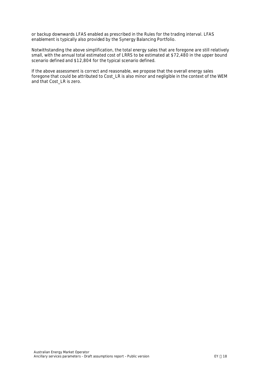or backup downwards LFAS enabled as prescribed in the Rules for the trading interval. LFAS enablement is typically also provided by the Synergy Balancing Portfolio.

Notwithstanding the above simplification, the total energy sales that are foregone are still relatively small, with the annual total estimated cost of LRRS to be estimated at \$72,480 in the upper bound scenario defined and \$12,804 for the typical scenario defined.

If the above assessment is correct and reasonable, we propose that the overall energy sales foregone that could be attributed to Cost LR is also minor and negligible in the context of the WEM and that Cost\_LR is zero.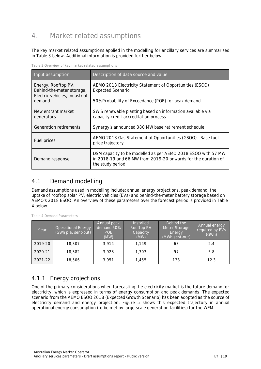# <span id="page-21-0"></span>**4. Market related assumptions**

The key market related assumptions applied in the modelling for ancillary services are summarised in [Table 3](#page-21-2) below. Additional information is provided further below.

<span id="page-21-2"></span>**Table 3 Overview of key market related assumptions**

| Input assumption                                                                  | Description of data source and value                                                                                                               |  |
|-----------------------------------------------------------------------------------|----------------------------------------------------------------------------------------------------------------------------------------------------|--|
| Energy, Rooftop PV,<br>Behind-the-meter storage,<br>Electric vehicles, Industrial | AEMO 2018 Electricity Statement of Opportunities (ESOO)<br><b>Expected Scenario</b>                                                                |  |
| demand                                                                            | 50% Probability of Exceedance (POE) for peak demand                                                                                                |  |
| New entrant market<br>generators                                                  | SWIS renewable planting based on information available via<br>capacity credit accreditation process                                                |  |
| Generation retirements                                                            | Synergy's announced 380 MW base retirement schedule                                                                                                |  |
| Fuel prices                                                                       | AEMO 2018 Gas Statement of Opportunities (GSOO) - Base fuel<br>price trajectory                                                                    |  |
| Demand response                                                                   | DSM capacity to be modelled as per AEMO 2018 ESOO with 57 MW<br>in 2018-19 and 66 MW from 2019-20 onwards for the duration of<br>the study period. |  |

## <span id="page-21-1"></span>**4.1 Demand modelling**

Demand assumptions used in modelling include; annual energy projections, peak demand, the uptake of rooftop solar PV, electric vehicles (EVs) and behind-the-meter battery storage based on AEMO's 2018 ESOO. An overview of these parameters over the forecast period is provided in [Table](#page-21-3) [4](#page-21-3) below.

| Year    | <b>Operational Energy</b><br>$\sqrt{\text{GWh p.a.}}$ sent-out) | Annual peak<br>demand 50%<br>POE<br>(MW) | <b>Installed</b><br>Rooftop PV<br>Capacity<br>(MW) | Behind the<br>Meter Storage<br>Energy<br>(MWh sent-out) | Annual energy<br>required by EVs<br>(GWh) |
|---------|-----------------------------------------------------------------|------------------------------------------|----------------------------------------------------|---------------------------------------------------------|-------------------------------------------|
| 2019-20 | 18,307                                                          | 3.914                                    | 1.149                                              | 63                                                      | 2.4                                       |
| 2020-21 | 18,382                                                          | 3,928                                    | 1,303                                              | 97                                                      | 5.8                                       |
| 2021-22 | 18,506                                                          | 3.951                                    | 1.455                                              | 133                                                     | 12.3                                      |

<span id="page-21-3"></span>**Table 4 Demand Parameters**

## **4.1.1 Energy projections**

One of the primary considerations when forecasting the electricity market is the future demand for electricity, which is expressed in terms of energy consumption and peak demands. The expected scenario from the AEMO ESOO 2018 (Expected Growth Scenario) has been adopted as the source of electricity demand and energy projection. [Figure 5](#page-22-0) shows this expected trajectory in annual operational energy consumption (to be met by large-scale generation facilities) for the WEM.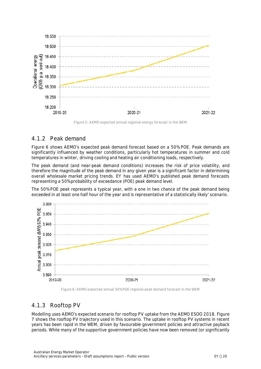

<span id="page-22-0"></span>**Figure 5: AEMO expected annual regional energy forecast in the WEM**

#### **4.1.2 Peak demand**

[Figure 6](#page-22-1) shows AEMO's expected peak demand forecast based on a 50% POE. Peak demands are significantly influenced by weather conditions, particularly hot temperatures in summer and cold temperatures in winter, driving cooling and heating air conditioning loads, respectively.

The peak demand (and near-peak demand conditions) increases the risk of price volatility, and therefore the magnitude of the peak demand in any given year is a significant factor in determining overall wholesale market pricing trends. EY has used AEMO's published peak demand forecasts representing a 50% probability of exceedance (POE) peak demand level.

The 50% POE peak represents a typical year, with a one in two chance of the peak demand being exceeded in at least one half hour of the year and is representative of a statistically likely' scenario.



<span id="page-22-1"></span>**Figure 6: AEMO expected annual 50% POE regional peak demand forecast in the WEM**

## **4.1.3 Rooftop PV**

Modelling uses AEMO's expected scenario for rooftop PV uptake from the AEMO ESOO 2018. [Figure](#page-23-0) [7](#page-23-0) shows the rooftop PV trajectory used in this scenario. The uptake in rooftop PV systems in recent years has been rapid in the WEM, driven by favourable government policies and attractive payback periods. While many of the supportive government policies have now been removed (or significantly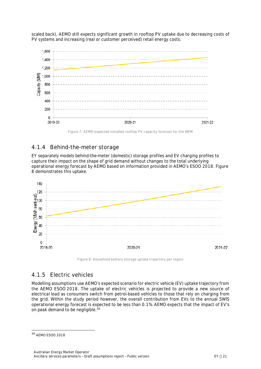scaled back), AEMO still expects significant growth in rooftop PV uptake due to decreasing costs of PV systems and increasing (real or customer perceived) retail energy costs.



<span id="page-23-0"></span>**Figure 7: AEMO expected installed rooftop PV capacity forecast for the WEM**

#### **4.1.4 Behind-the-meter storage**

EY separately models behind-the-meter (domestic) storage profiles and EV charging profiles to capture their impact on the shape of grid demand without changes to the total underlying operational energy forecast by AEMO based on information provided in AEMO's ESOO 2018. [Figure](#page-23-1) [8](#page-23-1) demonstrates this uptake.



<span id="page-23-1"></span>**Figure 8: Household battery storage uptake trajectory per region**

#### **4.1.5 Electric vehicles**

Modelling assumptions use AEMO's expected scenario for electric vehicle (EV) uptake trajectory from the AEMO ESOO 2018. The uptake of electric vehicles is projected to provide a new source of electrical load as consumers switch from petrol-based vehicles to those that rely on charging from the grid. Within the study period however, the overall contribution from EVs to the annual SWIS operational energy forecast is expected to be less than 0.1%. AEMO expects that the impact of EV's on peak demand to be negligible.[38](#page-23-2)

<span id="page-23-2"></span><sup>38</sup> AEMO ESOO 2018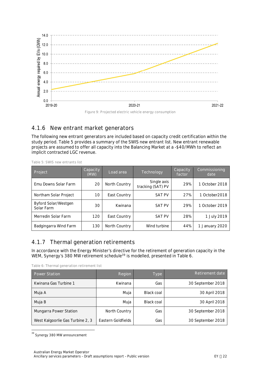

**Figure 9: Projected electric vehicle energy consumption**

# **4.1.6 New entrant market generators**

The following new entrant generators are included based on capacity credit certification within the study period. [Table 5](#page-24-0) provides a summary of the SWIS new entrant list. New entrant renewable projects are assumed to offer all capacity into the Balancing Market at a -\$40/MWh to reflect an implicit contracted LGC revenue.

| Project                            | Capacity<br>(MW) | Load area     | Technology                       | Capacity<br>factor | Commissioning<br>date |
|------------------------------------|------------------|---------------|----------------------------------|--------------------|-----------------------|
| Emu Downs Solar Farm               | 20               | North Country | Single axis<br>tracking (SAT) PV | 29%                | 1 October 2018        |
| Northam Solar Project              | 10               | East Country  | <b>SAT PV</b>                    | 27%                | 1 October 2018        |
| Byford Solar/Westgen<br>Solar Farm | 30               | Kwinana       | <b>SAT PV</b>                    | 29%                | 1 October 2019        |
| Merredin Solar Farm                | 120              | East Country  | <b>SAT PV</b>                    | 28%                | 1 July 2019           |
| Badgingarra Wind Farm              | 130              | North Country | Wind turbine                     | 44%                | 1 January 2020        |

<span id="page-24-0"></span>**Table 5: SWIS new entrants list**

#### **4.1.7 Thermal generation retirements**

In accordance with the Energy Minister's directive for the retirement of generation capacity in the WEM, Synergy's 380 MW retirement schedule<sup>[39](#page-24-2)</sup> is modelled, presented in [Table 6](#page-24-1).

<span id="page-24-1"></span>**Table 6: Thermal generation retirement list**

| <b>Power Station</b>             | Region             | Type              | Retirement date   |
|----------------------------------|--------------------|-------------------|-------------------|
| Kwinana Gas Turbine 1            | Kwinana            | Gas               | 30 September 2018 |
| Muja A                           | Muja               | Black coal        | 30 April 2018     |
| Muja B                           | Muja               | <b>Black coal</b> | 30 April 2018     |
| <b>Mungarra Power Station</b>    | North Country      | Gas               | 30 September 2018 |
| West Kalgoorlie Gas Turbine 2, 3 | Eastern Goldfields | Gas               | 30 September 2018 |

<span id="page-24-2"></span><sup>&</sup>lt;sup>39</sup> Synergy 380 MW announcement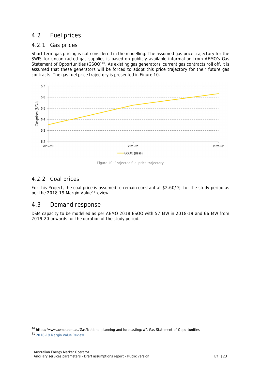# <span id="page-25-0"></span>**4.2 Fuel prices**

#### **4.2.1 Gas prices**

Short-term gas pricing is not considered in the modelling. The assumed gas price trajectory for the SWIS for uncontracted gas supplies is based on publicly available information from AEMO's Gas Statement of Opportunities (GSOO)<sup>[40](#page-25-3)</sup>. As existing gas generators' current gas contracts roll off, it is assumed that these generators will be forced to adopt this price trajectory for their future gas contracts. The gas fuel price trajectory is presented in [Figure 10.](#page-25-2)



<span id="page-25-2"></span>**Figure 10: Projected fuel price trajectory**

#### **4.2.2 Coal prices**

For this Project, the coal price is assumed to remain constant at \$2.60/GJ for the study period as per the 2018-19 Margin Value<sup>[41](#page-25-4)</sup> review.

#### <span id="page-25-1"></span>**4.3 Demand response**

DSM capacity to be modelled as per AEMO 2018 ESOO with 57 MW in 2018-19 and 66 MW from 2019-20 onwards for the duration of the study period.

<span id="page-25-3"></span><sup>40</sup><https://www.aemo.com.au/Gas/National-planning-and-forecasting/WA-Gas-Statement-of-Opportunities>

<span id="page-25-4"></span><sup>41</sup> [2018-19 Margin Value Review](https://www.aemo.com.au/-/media/Files/Stakeholder_Consultation/Consultations/WA_WEM_Consultation_Documents/2017/Margin/Final-assumptions-report--PUBLIC-v14.pdf)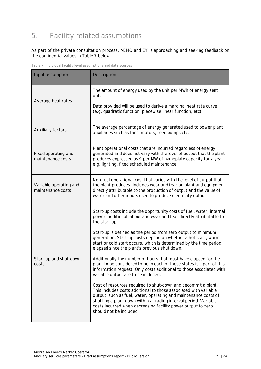# <span id="page-26-0"></span>**5. Facility related assumptions**

#### As part of the private consultation process, AEMO and EY is approaching and seeking feedback on the confidential values in [Table 7](#page-26-1) below.

<span id="page-26-1"></span>**Table 7: Individual facility level assumptions and data sources**

| Input assumption                            | Description                                                                                                                                                                                                                                                                                                                                                         |
|---------------------------------------------|---------------------------------------------------------------------------------------------------------------------------------------------------------------------------------------------------------------------------------------------------------------------------------------------------------------------------------------------------------------------|
| Average heat rates                          | The amount of energy used by the unit per MWh of energy sent<br>out.<br>Data provided will be used to derive a marginal heat rate curve<br>(e.g. quadratic function, piecewise linear function, etc).                                                                                                                                                               |
| Auxiliary factors                           | The average percentage of energy generated used to power plant<br>auxiliaries such as fans, motors, feed pumps etc.                                                                                                                                                                                                                                                 |
| Fixed operating and<br>maintenance costs    | Plant operational costs that are incurred regardless of energy<br>generated and does not vary with the level of output that the plant<br>produces expressed as \$ per MW of nameplate capacity for a year<br>e.g. lighting, fixed scheduled maintenance.                                                                                                            |
| Variable operating and<br>maintenance costs | Non-fuel operational cost that varies with the level of output that<br>the plant produces. Includes wear and tear on plant and equipment<br>directly attributable to the production of output and the value of<br>water and other inputs used to produce electricity output.                                                                                        |
|                                             | Start-up costs include the opportunity costs of fuel, water, internal<br>power, additional labour and wear and tear directly attributable to<br>the start-up.                                                                                                                                                                                                       |
|                                             | Start-up is defined as the period from zero output to minimum<br>generation. Start-up costs depend on whether a hot start, warm<br>start or cold start occurs, which is determined by the time period<br>elapsed since the plant's previous shut down.                                                                                                              |
| Start-up and shut-down<br>costs             | Additionally the number of hours that must have elapsed for the<br>plant to be considered to be in each of these states is a part of this<br>information request. Only costs additional to those associated with<br>variable output are to be included.                                                                                                             |
|                                             | Cost of resources required to shut-down and decommit a plant.<br>This includes costs additional to those associated with variable<br>output, such as fuel, water, operating and maintenance costs of<br>shutting a plant down within a trading interval period. Variable<br>costs incurred when decreasing facility power output to zero<br>should not be included. |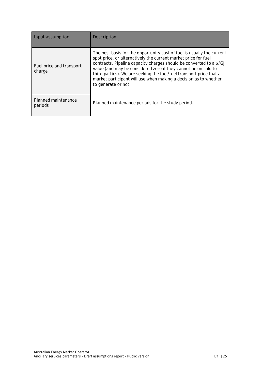| Input assumption                   | Description                                                                                                                                                                                                                                                                                                                                                                                                                                         |
|------------------------------------|-----------------------------------------------------------------------------------------------------------------------------------------------------------------------------------------------------------------------------------------------------------------------------------------------------------------------------------------------------------------------------------------------------------------------------------------------------|
| Fuel price and transport<br>charge | The best basis for the opportunity cost of fuel is usually the current<br>spot price, or alternatively the current market price for fuel<br>contracts. Pipeline capacity charges should be converted to a \$/GJ<br>value (and may be considered zero if they cannot be on sold to<br>third parties). We are seeking the fuel/fuel transport price that a<br>market participant will use when making a decision as to whether<br>to generate or not. |
| Planned maintenance<br>periods     | Planned maintenance periods for the study period.                                                                                                                                                                                                                                                                                                                                                                                                   |